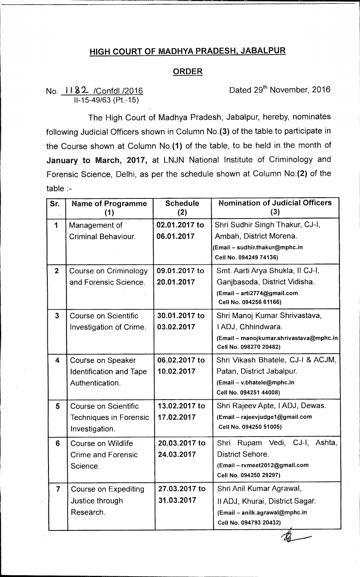## **HIGH COURT OF MADHYA PRADESH, JABALPUR**

## **ORDER**

No. 1182 / Confdl./2016 Conference Dated 29<sup>th</sup> November, 2016 11-15-49/63 (Pt.-15)

The High Court of Madhya Pradesh, Jabalpur, hereby, nominates following Judicial Officers shown in Column No.(3) of the table to participate in the Course shown at Column No.(1) of the table, to be held in the month of **January to March, 2017,** at LNJN National Institute of Criminology and Forensic Science, Delhi, as per the schedule shown at Column No.(2) of the table :-

| Sr.            | <b>Name of Programme</b><br>(1) | <b>Schedule</b><br>(2) | <b>Nomination of Judicial Officers</b><br>(3)                     |
|----------------|---------------------------------|------------------------|-------------------------------------------------------------------|
| 1              | Management of                   | 02.01.2017 to          | Shri Sudhir Singh Thakur, CJ-I,                                   |
|                | <b>Criminal Behaviour.</b>      | 06.01.2017             | Ambah, District Morena.                                           |
|                |                                 |                        | (Email - sudhir.thakur@mphc.in                                    |
|                |                                 |                        | Cell No. 094249 74136)                                            |
| $\overline{2}$ | Course on Criminology           | 09.01.2017 to          | Smt. Aarti Arya Shukla, II CJ-I,                                  |
|                | and Forensic Science.           | 20.01.2017             | Ganjbasoda, District Vidisha.                                     |
|                |                                 |                        | (Email - arti2774@gmail.com<br>Cell No. 094256 61166)             |
| $\mathbf{3}$   | Course on Scientific            | 30.01.2017 to          | Shri Manoj Kumar Shrivastava,                                     |
|                | Investigation of Crime.         | 03.02.2017             | I ADJ, Chhindwara.                                                |
|                |                                 |                        | (Email - manojkumar.shrivastava@mphc.in<br>Cell No. 098270 20482) |
| 4              | Course on Speaker               | 06.02.2017 to          | Shri Vikash Bhatele, CJ-I & ACJM,                                 |
|                | <b>Identification and Tape</b>  | 10.02.2017             | Patan, District Jabalpur.                                         |
|                | Authentication.                 |                        | (Email - v.bhatele@mphc.in                                        |
|                |                                 |                        | Cell No. 094251 44008)                                            |
| 5              | Course on Scientific            | 13.02.2017 to          | Shri Rajeev Apte, I ADJ, Dewas.                                   |
|                | Techniques in Forensic          | 17.02.2017             | (Email - rajeevjudge1@gmail.com                                   |
|                | Investigation.                  |                        | Cell No. 094250 51005)                                            |
| 6              | Course on Wildlife              | 20.03.2017 to          | Rupam Vedi, CJ-I, Ashta,<br>Shri                                  |
|                | <b>Crime and Forensic</b>       | 24.03.2017             | <b>District Sehore.</b>                                           |
|                | Science.                        |                        | (Email - rvmeet2012@gmail.com                                     |
|                |                                 |                        | Cell No. 094250 29297)                                            |
| 7              | <b>Course on Expediting</b>     | 27.03.2017 to          | Shri Anil Kumar Agrawal,                                          |
|                | Justice through                 | 31.03.2017             | II ADJ, Khurai, District Sagar.                                   |
|                | Research.                       |                        | (Email - anilk.agrawal@mphc.in                                    |
|                |                                 |                        | Cell No. 094793 20432)                                            |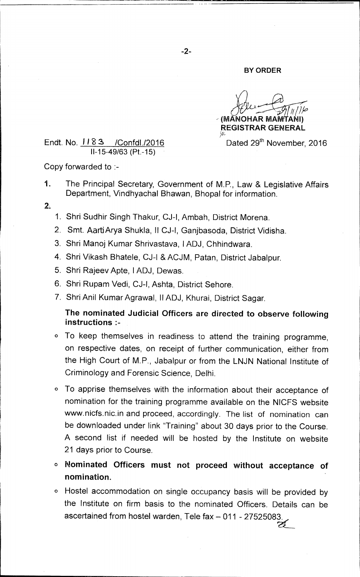## **BY ORDER**

**(MANOHAR MAMTANI) REGISTRAR GENERAL** 

*9.* 

Endt. No. 1183 / Confdl./2016 Dated 29<sup>th</sup> November, 2016 11-15-49/63 (Pt.-15)

Copy forwarded to :-

- 1. The Principal Secretary, Government of M.P., Law & Legislative Affairs Department, Vindhyachal Bhawan, Bhopal for information.
- **2.**
- 1. Shri Sudhir Singh Thakur, CJ-I, Ambah, District Morena.
- 2. Smt. Aarti Arya Shukla, II CJ-I, Ganjbasoda, District Vidisha.
- 3. Shri Manoj Kumar Shrivastava, I ADJ, Chhindwara.
- 4. Shri Vikash Bhatele, CJ-I & ACJM, Patan, District Jabalpur.
- 5. Shri Rajeev Apte, I ADJ, Dewas.
- 6. Shri Rupam Vedi, CJ-I, Ashta, District Sehore.
- 7. Shri Anil Kumar Agrawal, II ADJ, Khurai, District Sagar.

**The nominated Judicial Officers are directed to observe following instructions :-** 

- o To keep themselves in readiness to attend the training programme, on respective dates, on receipt of further communication, either from the High Court of M.P., Jabalpur or from the LNJN National Institute of Criminology and Forensic Science, Delhi.
- o To apprise themselves with the information about their acceptance of nomination for the training programme available on the N1CFS website www.nicfs.nic.in and proceed, accordingly. The list of nomination can be downloaded under link "Training" about 30 days prior to the Course. A second list if needed will be hosted by the Institute on website 21 days prior to Course.
- **O Nominated Officers must not proceed without acceptance of nomination.**
- o Hostel accommodation on single occupancy basis will be provided by the Institute on firm basis to the nominated Officers. Details can be ascertained from hostel warden, Tele fax - 011 - 27525083.